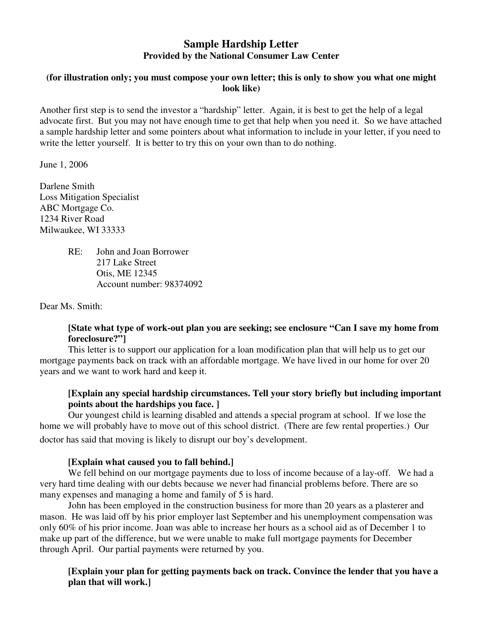# **Sample Hardship Letter Provided by the National Consumer Law Center**

#### **(for illustration only; you must compose your own letter; this is only to show you what one might look like)**

Another first step is to send the investor a "hardship" letter. Again, it is best to get the help of a legal advocate first. But you may not have enough time to get that help when you need it. So we have attached a sample hardship letter and some pointers about what information to include in your letter, if you need to write the letter yourself. It is better to try this on your own than to do nothing.

June 1, 2006

Darlene Smith Loss Mitigation Specialist ABC Mortgage Co. 1234 River Road Milwaukee, WI 33333

> RE: John and Joan Borrower 217 Lake Street Otis, ME 12345 Account number: 98374092

Dear Ms. Smith:

#### **[State what type of work-out plan you are seeking; see enclosure "Can I save my home from foreclosure?"]**

This letter is to support our application for a loan modification plan that will help us to get our mortgage payments back on track with an affordable mortgage. We have lived in our home for over 20 years and we want to work hard and keep it.

### **[Explain any special hardship circumstances. Tell your story briefly but including important points about the hardships you face. ]**

Our youngest child is learning disabled and attends a special program at school. If we lose the home we will probably have to move out of this school district. (There are few rental properties.) Our doctor has said that moving is likely to disrupt our boy's development.

#### **[Explain what caused you to fall behind.]**

 We fell behind on our mortgage payments due to loss of income because of a lay-off. We had a very hard time dealing with our debts because we never had financial problems before. There are so many expenses and managing a home and family of 5 is hard.

 John has been employed in the construction business for more than 20 years as a plasterer and mason. He was laid off by his prior employer last September and his unemployment compensation was only 60% of his prior income. Joan was able to increase her hours as a school aid as of December 1 to make up part of the difference, but we were unable to make full mortgage payments for December through April. Our partial payments were returned by you.

### **[Explain your plan for getting payments back on track. Convince the lender that you have a plan that will work.]**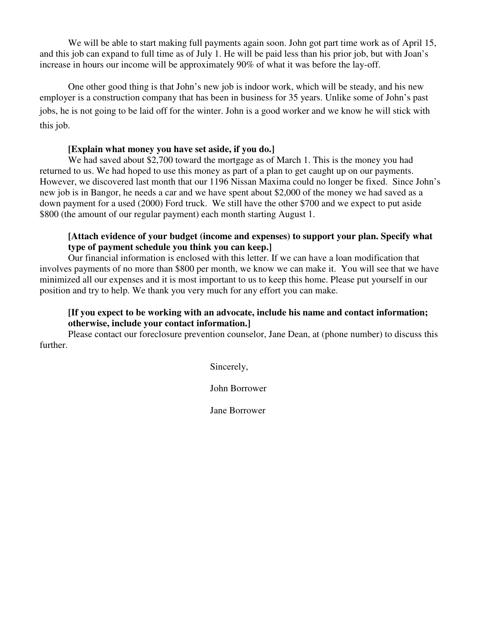We will be able to start making full payments again soon. John got part time work as of April 15, and this job can expand to full time as of July 1. He will be paid less than his prior job, but with Joan's increase in hours our income will be approximately 90% of what it was before the lay-off.

 One other good thing is that John's new job is indoor work, which will be steady, and his new employer is a construction company that has been in business for 35 years. Unlike some of John's past jobs, he is not going to be laid off for the winter. John is a good worker and we know he will stick with this job.

#### **[Explain what money you have set aside, if you do.]**

We had saved about \$2,700 toward the mortgage as of March 1. This is the money you had returned to us. We had hoped to use this money as part of a plan to get caught up on our payments. However, we discovered last month that our 1196 Nissan Maxima could no longer be fixed. Since John's new job is in Bangor, he needs a car and we have spent about \$2,000 of the money we had saved as a down payment for a used (2000) Ford truck. We still have the other \$700 and we expect to put aside \$800 (the amount of our regular payment) each month starting August 1.

#### **[Attach evidence of your budget (income and expenses) to support your plan. Specify what type of payment schedule you think you can keep.]**

Our financial information is enclosed with this letter. If we can have a loan modification that involves payments of no more than \$800 per month, we know we can make it. You will see that we have minimized all our expenses and it is most important to us to keep this home. Please put yourself in our position and try to help. We thank you very much for any effort you can make.

### **[If you expect to be working with an advocate, include his name and contact information; otherwise, include your contact information.]**

Please contact our foreclosure prevention counselor, Jane Dean, at (phone number) to discuss this further.

Sincerely,

John Borrower

Jane Borrower